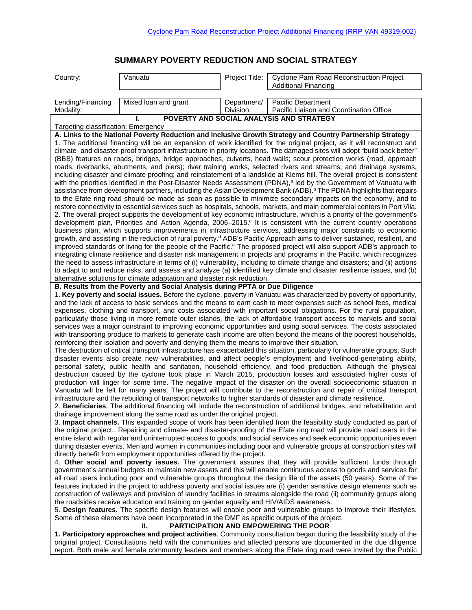## **SUMMARY POVERTY REDUCTION AND SOCIAL STRATEGY**

| Country:                                                                                                                                                                   | Vanuatu                                                                                        | Project Title:           | Cyclone Pam Road Reconstruction Project<br><b>Additional Financing</b>                                                                                                                                                                                  |  |
|----------------------------------------------------------------------------------------------------------------------------------------------------------------------------|------------------------------------------------------------------------------------------------|--------------------------|---------------------------------------------------------------------------------------------------------------------------------------------------------------------------------------------------------------------------------------------------------|--|
|                                                                                                                                                                            |                                                                                                |                          |                                                                                                                                                                                                                                                         |  |
| Lending/Financing<br>Modality:                                                                                                                                             | Mixed loan and grant                                                                           | Department/<br>Division: | Pacific Department<br>Pacific Liaison and Coordination Office                                                                                                                                                                                           |  |
|                                                                                                                                                                            |                                                                                                |                          | POVERTY AND SOCIAL ANALYSIS AND STRATEGY                                                                                                                                                                                                                |  |
| Targeting classification: Emergency                                                                                                                                        |                                                                                                |                          |                                                                                                                                                                                                                                                         |  |
|                                                                                                                                                                            |                                                                                                |                          | A. Links to the National Poverty Reduction and Inclusive Growth Strategy and Country Partnership Strategy                                                                                                                                               |  |
|                                                                                                                                                                            |                                                                                                |                          | 1. The additional financing will be an expansion of work identified for the original project, as it will reconstruct and                                                                                                                                |  |
|                                                                                                                                                                            |                                                                                                |                          | climate- and disaster-proof transport infrastructure in priority locations. The damaged sites will adopt "build back better"                                                                                                                            |  |
|                                                                                                                                                                            |                                                                                                |                          | (BBB) features on roads, bridges, bridge approaches, culverts, head walls; scour protection works (road, approach<br>roads, riverbanks, abutments, and piers); river training works, selected rivers and streams, and drainage systems,                 |  |
|                                                                                                                                                                            |                                                                                                |                          | including disaster and climate proofing; and reinstatement of a landslide at Klems hill. The overall project is consistent                                                                                                                              |  |
|                                                                                                                                                                            |                                                                                                |                          | with the priorities identified in the Post-Disaster Needs Assessment (PDNA), <sup>a</sup> led by the Government of Vanuatu with                                                                                                                         |  |
|                                                                                                                                                                            |                                                                                                |                          | assistance from development partners, including the Asian Development Bank (ADB). <sup>b</sup> The PDNA highlights that repairs                                                                                                                         |  |
|                                                                                                                                                                            |                                                                                                |                          | to the Efate ring road should be made as soon as possible to minimize secondary impacts on the economy, and to                                                                                                                                          |  |
|                                                                                                                                                                            |                                                                                                |                          | restore connectivity to essential services such as hospitals, schools, markets, and main commercial centers in Port Vila.                                                                                                                               |  |
|                                                                                                                                                                            |                                                                                                |                          | 2. The overall project supports the development of key economic infrastructure, which is a priority of the government's<br>development plan, Priorities and Action Agenda, 2006-2015. <sup>c</sup> It is consistent with the current country operations |  |
|                                                                                                                                                                            |                                                                                                |                          | business plan, which supports improvements in infrastructure services, addressing major constraints to economic                                                                                                                                         |  |
|                                                                                                                                                                            |                                                                                                |                          | growth, and assisting in the reduction of rural poverty. <sup>d</sup> ADB's Pacific Approach aims to deliver sustained, resilient, and                                                                                                                  |  |
|                                                                                                                                                                            |                                                                                                |                          | improved standards of living for the people of the Pacific. <sup>e</sup> The proposed project will also support ADB's approach to                                                                                                                       |  |
|                                                                                                                                                                            |                                                                                                |                          | integrating climate resilience and disaster risk management in projects and programs in the Pacific, which recognizes                                                                                                                                   |  |
|                                                                                                                                                                            |                                                                                                |                          | the need to assess infrastructure in terms of (i) vulnerability, including to climate change and disasters; and (ii) actions                                                                                                                            |  |
|                                                                                                                                                                            | alternative solutions for climate adaptation and disaster risk reduction.                      |                          | to adapt to and reduce risks, and assess and analyze (a) identified key climate and disaster resilience issues, and (b)                                                                                                                                 |  |
|                                                                                                                                                                            | B. Results from the Poverty and Social Analysis during PPTA or Due Diligence                   |                          |                                                                                                                                                                                                                                                         |  |
|                                                                                                                                                                            |                                                                                                |                          | 1. Key poverty and social issues. Before the cyclone, poverty in Vanuatu was characterized by poverty of opportunity,                                                                                                                                   |  |
|                                                                                                                                                                            |                                                                                                |                          | and the lack of access to basic services and the means to earn cash to meet expenses such as school fees, medical                                                                                                                                       |  |
|                                                                                                                                                                            |                                                                                                |                          | expenses, clothing and transport, and costs associated with important social obligations. For the rural population,                                                                                                                                     |  |
|                                                                                                                                                                            |                                                                                                |                          | particularly those living in more remote outer islands, the lack of affordable transport access to markets and social<br>services was a major constraint to improving economic opportunities and using social services. The costs associated            |  |
|                                                                                                                                                                            |                                                                                                |                          | with transporting produce to markets to generate cash income are often beyond the means of the poorest households,                                                                                                                                      |  |
|                                                                                                                                                                            | reinforcing their isolation and poverty and denying them the means to improve their situation. |                          |                                                                                                                                                                                                                                                         |  |
|                                                                                                                                                                            |                                                                                                |                          | The destruction of critical transport infrastructure has exacerbated this situation, particularly for vulnerable groups. Such                                                                                                                           |  |
|                                                                                                                                                                            |                                                                                                |                          | disaster events also create new vulnerabilities, and affect people's employment and livelihood-generating ability,                                                                                                                                      |  |
|                                                                                                                                                                            |                                                                                                |                          | personal safety, public health and sanitation, household efficiency, and food production. Although the physical                                                                                                                                         |  |
|                                                                                                                                                                            |                                                                                                |                          | destruction caused by the cyclone took place in March 2015, production losses and associated higher costs of<br>production will linger for some time. The negative impact of the disaster on the overall socioeconomic situation in                     |  |
|                                                                                                                                                                            |                                                                                                |                          | Vanuatu will be felt for many years. The project will contribute to the reconstruction and repair of critical transport                                                                                                                                 |  |
|                                                                                                                                                                            |                                                                                                |                          | infrastructure and the rebuilding of transport networks to higher standards of disaster and climate resilience.                                                                                                                                         |  |
|                                                                                                                                                                            |                                                                                                |                          | 2. Beneficiaries. The additional financing will include the reconstruction of additional bridges, and rehabilitation and                                                                                                                                |  |
|                                                                                                                                                                            | drainage improvement along the same road as under the original project.                        |                          |                                                                                                                                                                                                                                                         |  |
|                                                                                                                                                                            |                                                                                                |                          | 3. Impact channels. This expanded scope of work has been identified from the feasibility study conducted as part of                                                                                                                                     |  |
|                                                                                                                                                                            |                                                                                                |                          | the original project Repairing and climate- and disaster-proofing of the Efate ring road will provide road users in the<br>entire island with regular and uninterrupted access to goods, and social services and seek economic opportunities even       |  |
|                                                                                                                                                                            |                                                                                                |                          | during disaster events. Men and women in communities including poor and vulnerable groups at construction sites will                                                                                                                                    |  |
|                                                                                                                                                                            | directly benefit from employment opportunities offered by the project.                         |                          |                                                                                                                                                                                                                                                         |  |
|                                                                                                                                                                            |                                                                                                |                          | 4. Other social and poverty issues. The government assures that they will provide sufficient funds through                                                                                                                                              |  |
|                                                                                                                                                                            |                                                                                                |                          | government's annual budgets to maintain new assets and this will enable continuous access to goods and services for                                                                                                                                     |  |
|                                                                                                                                                                            |                                                                                                |                          | all road users including poor and vulnerable groups throughout the design life of the assets (50 years). Some of the                                                                                                                                    |  |
|                                                                                                                                                                            |                                                                                                |                          | features included in the project to address poverty and social issues are (i) gender sensitive design elements such as<br>construction of walkways and provision of laundry facilities in streams alongside the road (ii) community groups along        |  |
|                                                                                                                                                                            | the roadsides receive education and training on gender equality and HIV/AIDS awareness.        |                          |                                                                                                                                                                                                                                                         |  |
|                                                                                                                                                                            |                                                                                                |                          | 5. Design features. The specific design features will enable poor and vulnerable groups to improve their lifestyles.                                                                                                                                    |  |
|                                                                                                                                                                            | Some of these elements have been incorporated in the DMF as specific outputs of the project.   |                          |                                                                                                                                                                                                                                                         |  |
| <b>PARTICIPATION AND EMPOWERING THE POOR</b><br>н.<br>1. Participatory approaches and project activities. Community consultation began during the feasibility study of the |                                                                                                |                          |                                                                                                                                                                                                                                                         |  |
|                                                                                                                                                                            |                                                                                                |                          | original project. Consultations held with the communities and affected persons are documented in the due diligence                                                                                                                                      |  |
|                                                                                                                                                                            |                                                                                                |                          | report. Both male and female community leaders and members along the Efate ring road were invited by the Public                                                                                                                                         |  |
|                                                                                                                                                                            |                                                                                                |                          |                                                                                                                                                                                                                                                         |  |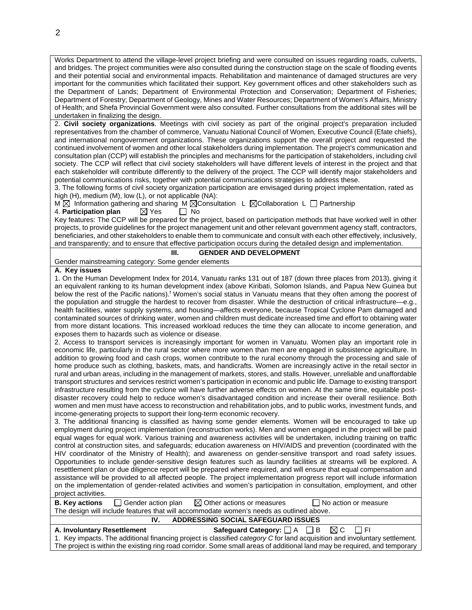Works Department to attend the village-level project briefing and were consulted on issues regarding roads, culverts, and bridges. The project communities were also consulted during the construction stage on the scale of flooding events and their potential social and environmental impacts. Rehabilitation and maintenance of damaged structures are very important for the communities which facilitated their support. Key government offices and other stakeholders such as the Department of Lands; Department of Environmental Protection and Conservation; Department of Fisheries; Department of Forestry; Department of Geology, Mines and Water Resources; Department of Women's Affairs, Ministry of Health; and Shefa Provincial Government were also consulted. Further consultations from the additional sites will be undertaken in finalizing the design.

2. **Civil society organizations**. Meetings with civil society as part of the original project's preparation included representatives from the chamber of commerce, Vanuatu National Council of Women, Executive Council (Efate chiefs), and international nongovernment organizations. These organizations support the overall project and requested the continued involvement of women and other local stakeholders during implementation. The project's communication and consultation plan (CCP) will establish the principles and mechanisms for the participation of stakeholders, including civil society. The CCP will reflect that civil society stakeholders will have different levels of interest in the project and that each stakeholder will contribute differently to the delivery of the project. The CCP will identify major stakeholders and potential communications risks, together with potential communications strategies to address these.

3. The following forms of civil society organization participation are envisaged during project implementation, rated as high (H), medium (M), low (L), or not applicable (NA):

 $M \boxtimes$  Information gathering and sharing M  $\boxtimes$  Consultation L  $\boxtimes$  Collaboration L  $\Box$  Partnership 4. **Participation plan**  $\boxtimes$  Yes  $\Box$  No

## 4. **Participation plan**  $\boxtimes$  Yes  $\Box$  No

Key features: The CCP will be prepared for the project, based on participation methods that have worked well in other projects, to provide guidelines for the project management unit and other relevant government agency staff, contractors, beneficiaries, and other stakeholders to enable them to communicate and consult with each other effectively, inclusively, and transparently; and to ensure that effective participation occurs during the detailed design and implementation.

## **III. GENDER AND DEVELOPMENT**

Gender mainstreaming category: Some gender elements

## **A. Key issues**

1. On the Human Development Index for 2014, Vanuatu ranks 131 out of 187 (down three places from 2013), giving it an equivalent ranking to its human development index (above Kiribati, Solomon Islands, and Papua New Guinea but below the rest of the Pacific nations).<sup>f</sup> Women's social status in Vanuatu means that they often among the poorest of the population and struggle the hardest to recover from disaster. While the destruction of critical infrastructure—e.g., health facilities, water supply systems, and housing—affects everyone, because Tropical Cyclone Pam damaged and contaminated sources of drinking water, women and children must dedicate increased time and effort to obtaining water from more distant locations. This increased workload reduces the time they can allocate to income generation, and exposes them to hazards such as violence or disease.

2. Access to transport services is increasingly important for women in Vanuatu. Women play an important role in economic life, particularly in the rural sector where more women than men are engaged in subsistence agriculture. In addition to growing food and cash crops, women contribute to the rural economy through the processing and sale of home produce such as clothing, baskets, mats, and handicrafts. Women are increasingly active in the retail sector in rural and urban areas, including in the management of markets, stores, and stalls. However, unreliable and unaffordable transport structures and services restrict women's participation in economic and public life. Damage to existing transport infrastructure resulting from the cyclone will have further adverse effects on women. At the same time, equitable postdisaster recovery could help to reduce women's disadvantaged condition and increase their overall resilience. Both women and men must have access to reconstruction and rehabilitation jobs, and to public works, investment funds, and income-generating projects to support their long-term economic recovery.

3. The additional financing is classified as having some gender elements. Women will be encouraged to take up employment during project implementation (reconstruction works). Men and women engaged in the project will be paid equal wages for equal work. Various training and awareness activities will be undertaken, including training on traffic control at construction sites, and safeguards; education awareness on HIV/AIDS and prevention (coordinated with the HIV coordinator of the Ministry of Health); and awareness on gender-sensitive transport and road safety issues. Opportunities to include gender-sensitive design features such as laundry facilities at streams will be explored. A resettlement plan or due diligence report will be prepared where required, and will ensure that equal compensation and assistance will be provided to all affected people. The project implementation progress report will include information on the implementation of gender-related activities and women's participation in consultation, employment, and other project activities.

|                                                                                         | <b>B. Key actions</b> $\Box$ Gender action plan $\Box$ Other actions or measures | □ No action or measure                                                                                                     |  |  |
|-----------------------------------------------------------------------------------------|----------------------------------------------------------------------------------|----------------------------------------------------------------------------------------------------------------------------|--|--|
| The design will include features that will accommodate women's needs as outlined above. |                                                                                  |                                                                                                                            |  |  |
|                                                                                         | ADDRESSING SOCIAL SAFEGUARD ISSUES<br>IV.                                        |                                                                                                                            |  |  |
| A. Involuntary Resettlement                                                             |                                                                                  | Safeguard Category: $\Box A$ $\Box B$ $\Box C$ $\Box F$                                                                    |  |  |
|                                                                                         |                                                                                  | 1. Key impacts. The additional financing project is classified category C for land acquisition and involuntary settlement. |  |  |

The project is within the existing ring road corridor. Some small areas of additional land may be required, and temporary